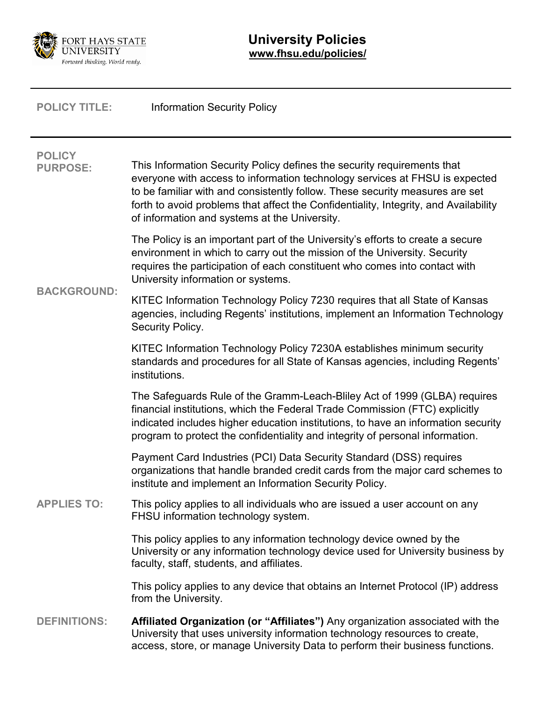

| <b>POLICY TITLE:</b>             | <b>Information Security Policy</b>                                                                                                                                                                                                                                                                                                                                              |
|----------------------------------|---------------------------------------------------------------------------------------------------------------------------------------------------------------------------------------------------------------------------------------------------------------------------------------------------------------------------------------------------------------------------------|
| <b>POLICY</b><br><b>PURPOSE:</b> | This Information Security Policy defines the security requirements that<br>everyone with access to information technology services at FHSU is expected<br>to be familiar with and consistently follow. These security measures are set<br>forth to avoid problems that affect the Confidentiality, Integrity, and Availability<br>of information and systems at the University. |
| <b>BACKGROUND:</b>               | The Policy is an important part of the University's efforts to create a secure<br>environment in which to carry out the mission of the University. Security<br>requires the participation of each constituent who comes into contact with<br>University information or systems.                                                                                                 |
|                                  | KITEC Information Technology Policy 7230 requires that all State of Kansas<br>agencies, including Regents' institutions, implement an Information Technology<br>Security Policy.                                                                                                                                                                                                |
|                                  | KITEC Information Technology Policy 7230A establishes minimum security<br>standards and procedures for all State of Kansas agencies, including Regents'<br>institutions.                                                                                                                                                                                                        |
| <b>APPLIES TO:</b>               | The Safeguards Rule of the Gramm-Leach-Bliley Act of 1999 (GLBA) requires<br>financial institutions, which the Federal Trade Commission (FTC) explicitly<br>indicated includes higher education institutions, to have an information security<br>program to protect the confidentiality and integrity of personal information.                                                  |
|                                  | Payment Card Industries (PCI) Data Security Standard (DSS) requires<br>organizations that handle branded credit cards from the major card schemes to<br>institute and implement an Information Security Policy.                                                                                                                                                                 |
|                                  | This policy applies to all individuals who are issued a user account on any<br>FHSU information technology system.                                                                                                                                                                                                                                                              |
|                                  | This policy applies to any information technology device owned by the<br>University or any information technology device used for University business by<br>faculty, staff, students, and affiliates.                                                                                                                                                                           |
|                                  | This policy applies to any device that obtains an Internet Protocol (IP) address<br>from the University.                                                                                                                                                                                                                                                                        |
| <b>DEFINITIONS:</b>              | Affiliated Organization (or "Affiliates") Any organization associated with the<br>University that uses university information technology resources to create,<br>access, store, or manage University Data to perform their business functions.                                                                                                                                  |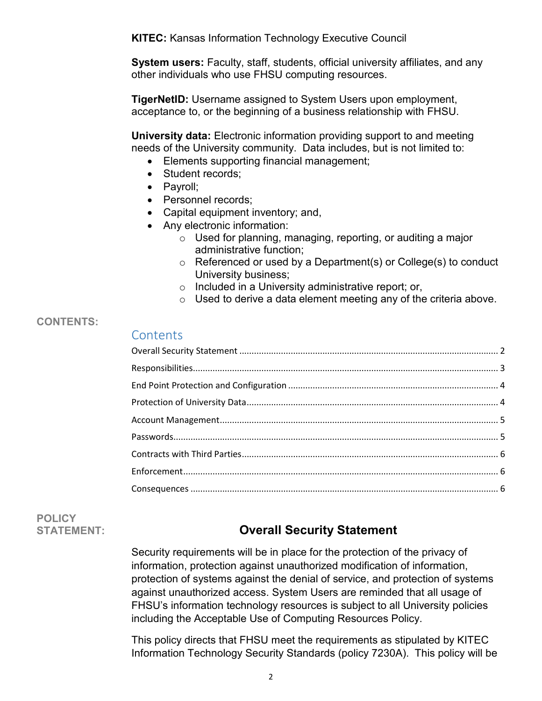**KITEC:** Kansas Information Technology Executive Council

**System users:** Faculty, staff, students, official university affiliates, and any other individuals who use FHSU computing resources.

**TigerNetID:** Username assigned to System Users upon employment, acceptance to, or the beginning of a business relationship with FHSU.

**University data:** Electronic information providing support to and meeting needs of the University community. Data includes, but is not limited to:

- Elements supporting financial management;
- Student records:
- Payroll;
- Personnel records;
- Capital equipment inventory; and,
- Any electronic information:
	- o Used for planning, managing, reporting, or auditing a major administrative function;
	- o Referenced or used by a Department(s) or College(s) to conduct University business;
	- o Included in a University administrative report; or,
	- $\circ$  Used to derive a data element meeting any of the criteria above.

#### **CONTENTS:**

#### **Contents**

**POLICY**

### **STATEMENT: Overall Security Statement**

<span id="page-1-0"></span>Security requirements will be in place for the protection of the privacy of information, protection against unauthorized modification of information, protection of systems against the denial of service, and protection of systems against unauthorized access. System Users are reminded that all usage of FHSU's information technology resources is subject to all University policies including the Acceptable Use [of Computing Resources](http://www.k-state.edu/policies/ppm/3400/3420.html) Policy.

This policy directs that FHSU meet the requirements as stipulated by KITEC Information Technology Security Standards (policy 7230A). This policy will be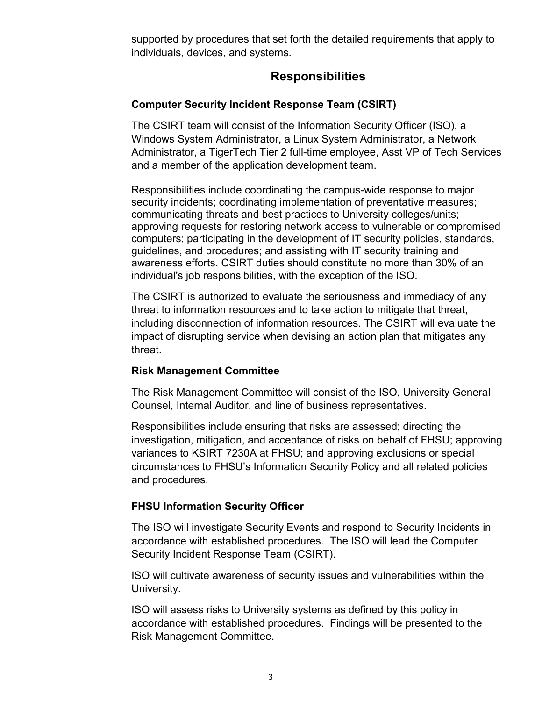supported by procedures that set forth the detailed requirements that apply to individuals, devices, and systems.

## **Responsibilities**

### <span id="page-2-0"></span>**Computer Security Incident Response Team (CSIRT)**

The CSIRT team will consist of the Information Security Officer (ISO), a Windows System Administrator, a Linux System Administrator, a Network Administrator, a TigerTech Tier 2 full-time employee, Asst VP of Tech Services and a member of the application development team.

Responsibilities include coordinating the campus-wide response to major security incidents; coordinating implementation of preventative measures; communicating threats and best practices to University colleges/units; approving requests for restoring network access to vulnerable or compromised computers; participating in the development of IT security policies, standards, guidelines, and procedures; and assisting with IT security training and awareness efforts. CSIRT duties should constitute no more than 30% of an individual's job responsibilities, with the exception of the ISO.

The CSIRT is authorized to evaluate the seriousness and immediacy of any threat to information resources and to take action to mitigate that threat, including disconnection of information resources. The CSIRT will evaluate the impact of disrupting service when devising an action plan that mitigates any threat.

### **Risk Management Committee**

The Risk Management Committee will consist of the ISO, University General Counsel, Internal Auditor, and line of business representatives.

Responsibilities include ensuring that risks are assessed; directing the investigation, mitigation, and acceptance of risks on behalf of FHSU; approving variances to KSIRT 7230A at FHSU; and approving exclusions or special circumstances to FHSU's Information Security Policy and all related policies and procedures.

### **FHSU Information Security Officer**

The ISO will investigate Security Events and respond to Security Incidents in accordance with established procedures. The ISO will lead the Computer Security Incident Response Team (CSIRT).

ISO will cultivate awareness of security issues and vulnerabilities within the University.

ISO will assess risks to University systems as defined by this policy in accordance with established procedures. Findings will be presented to the Risk Management Committee.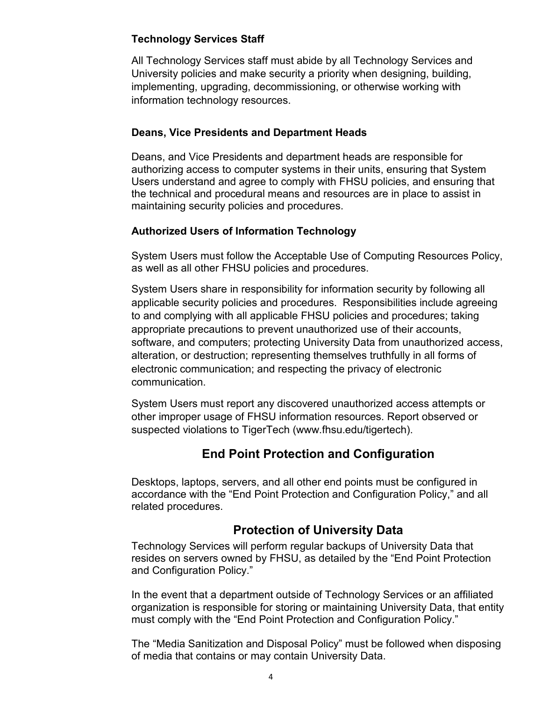### **Technology Services Staff**

All Technology Services staff must abide by all Technology Services and University policies and make security a priority when designing, building, implementing, upgrading, decommissioning, or otherwise working with information technology resources.

#### **Deans, Vice Presidents and Department Heads**

Deans, and Vice Presidents and department heads are responsible for authorizing access to computer systems in their units, ensuring that System Users understand and agree to comply with FHSU policies, and ensuring that the technical and procedural means and resources are in place to assist in maintaining security policies and procedures.

### **Authorized Users of Information Technology**

System Users must follow the Acceptable Use of Computing Resources Policy, as well as all other FHSU policies and procedures.

System Users share in responsibility for information security by following all applicable security policies and procedures. Responsibilities include agreeing to and complying with all applicable FHSU policies and procedures; taking appropriate precautions to prevent unauthorized use of their accounts, software, and computers; protecting University Data from unauthorized access, alteration, or destruction; representing themselves truthfully in all forms of electronic communication; and respecting the privacy of electronic communication.

<span id="page-3-0"></span>System Users must report any discovered unauthorized access attempts or other improper usage of FHSU information resources. Report observed or suspected violations to TigerTech (www.fhsu.edu/tigertech).

# **End Point Protection and Configuration**

Desktops, laptops, servers, and all other end points must be configured in accordance with the "End Point Protection and Configuration Policy," and all related procedures.

# **Protection of University Data**

<span id="page-3-1"></span>Technology Services will perform regular backups of University Data that resides on servers owned by FHSU, as detailed by the "End Point Protection and Configuration Policy."

In the event that a department outside of Technology Services or an affiliated organization is responsible for storing or maintaining University Data, that entity must comply with the "End Point Protection and Configuration Policy."

The "Media Sanitization and Disposal Policy" must be followed when disposing of media that contains or may contain University Data.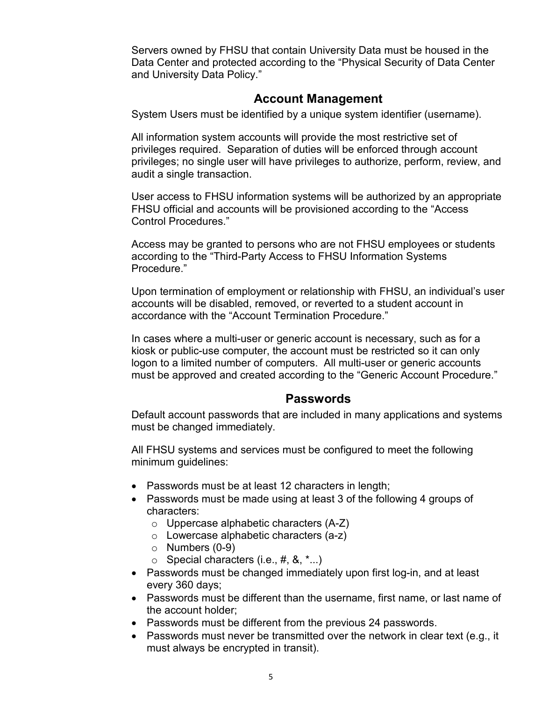Servers owned by FHSU that contain University Data must be housed in the Data Center and protected according to the "Physical Security of Data Center and University Data Policy."

## **Account Management**

<span id="page-4-0"></span>System Users must be identified by a unique system identifier (username).

All information system accounts will provide the most restrictive set of privileges required. Separation of duties will be enforced through account privileges; no single user will have privileges to authorize, perform, review, and audit a single transaction.

User access to FHSU information systems will be authorized by an appropriate FHSU official and accounts will be provisioned according to the "Access Control Procedures."

Access may be granted to persons who are not FHSU employees or students according to the "Third-Party Access to FHSU Information Systems Procedure."

Upon termination of employment or relationship with FHSU, an individual's user accounts will be disabled, removed, or reverted to a student account in accordance with the "Account Termination Procedure."

In cases where a multi-user or generic account is necessary, such as for a kiosk or public-use computer, the account must be restricted so it can only logon to a limited number of computers. All multi-user or generic accounts must be approved and created according to the "Generic Account Procedure."

### **Passwords**

<span id="page-4-1"></span>Default account passwords that are included in many applications and systems must be changed immediately.

All FHSU systems and services must be configured to meet the following minimum guidelines:

- Passwords must be at least 12 characters in length;
- Passwords must be made using at least 3 of the following 4 groups of characters:
	- o Uppercase alphabetic characters (A-Z)
	- o Lowercase alphabetic characters (a-z)
	- $\circ$  Numbers (0-9)
	- $\circ$  Special characters (i.e., #, &,  $*...$ )
- Passwords must be changed immediately upon first log-in, and at least every 360 days;
- Passwords must be different than the username, first name, or last name of the account holder;
- Passwords must be different from the previous 24 passwords.
- Passwords must never be transmitted over the network in clear text (e.g., it must always be encrypted in transit).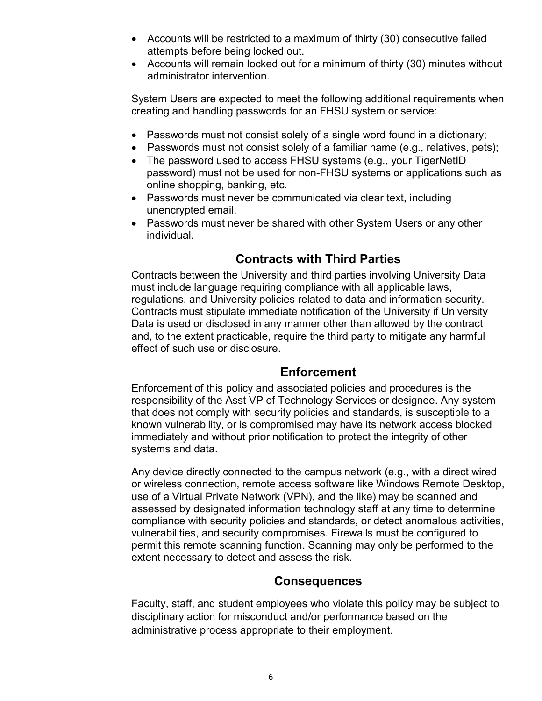- Accounts will be restricted to a maximum of thirty (30) consecutive failed attempts before being locked out.
- Accounts will remain locked out for a minimum of thirty (30) minutes without administrator intervention.

System Users are expected to meet the following additional requirements when creating and handling passwords for an FHSU system or service:

- Passwords must not consist solely of a single word found in a dictionary;
- Passwords must not consist solely of a familiar name (e.g., relatives, pets);
- The password used to access FHSU systems (e.g., your TigerNetID password) must not be used for non-FHSU systems or applications such as online shopping, banking, etc.
- Passwords must never be communicated via clear text, including unencrypted email.
- <span id="page-5-0"></span>• Passwords must never be shared with other System Users or any other individual.

# **Contracts with Third Parties**

Contracts between the University and third parties involving University Data must include language requiring compliance with all applicable laws, regulations, and University policies related to data and information security. Contracts must stipulate immediate notification of the University if University Data is used or disclosed in any manner other than allowed by the contract and, to the extent practicable, require the third party to mitigate any harmful effect of such use or disclosure.

## **Enforcement**

<span id="page-5-1"></span>Enforcement of this policy and associated policies and procedures is the responsibility of the Asst VP of Technology Services or designee. Any system that does not comply with security policies and standards, is susceptible to a known vulnerability, or is compromised may have its network access blocked immediately and without prior notification to protect the integrity of other systems and data.

Any device directly connected to the campus network (e.g., with a direct wired or wireless connection, remote access software like Windows Remote Desktop, use of a Virtual Private Network (VPN), and the like) may be scanned and assessed by designated information technology staff at any time to determine compliance with security policies and standards, or detect anomalous activities, vulnerabilities, and security compromises. Firewalls must be configured to permit this remote scanning function. Scanning may only be performed to the extent necessary to detect and assess the risk.

## **Consequences**

<span id="page-5-2"></span>Faculty, staff, and student employees who violate this policy may be subject to disciplinary action for misconduct and/or performance based on the administrative process appropriate to their employment.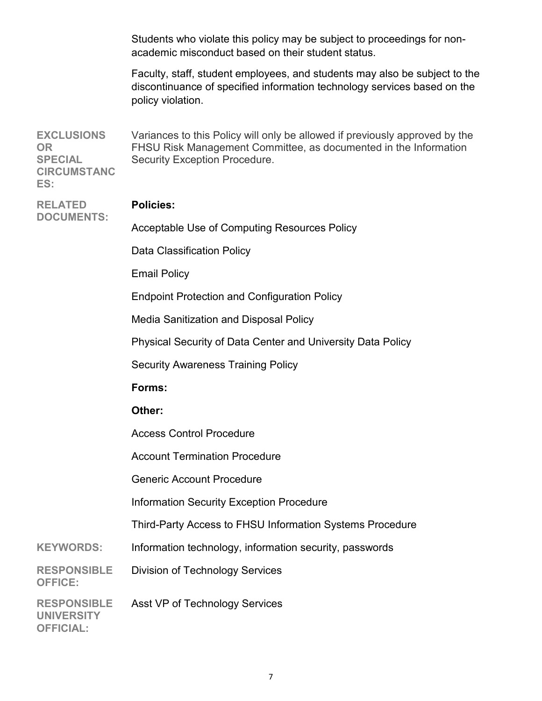Students who violate this policy may be subject to proceedings for nonacademic misconduct based on their student status.

Faculty, staff, student employees, and students may also be subject to the discontinuance of specified information technology services based on the policy violation.

**EXCLUSIONS OR SPECIAL CIRCUMSTANC ES:** Variances to this Policy will only be allowed if previously approved by the FHSU Risk Management Committee, as documented in the Information Security Exception Procedure.

#### **Policies:**

**DOCUMENTS:**

**RELATED**

Acceptable Use of Computing Resources Policy

Data Classification Policy

Email Policy

Endpoint Protection and Configuration Policy

Media Sanitization and Disposal Policy

Physical Security of Data Center and University Data Policy

Security Awareness Training Policy

#### **Forms:**

#### **Other:**

Access Control Procedure

Account Termination Procedure

Generic Account Procedure

Information Security Exception Procedure

Third-Party Access to FHSU Information Systems Procedure

**KEYWORDS:** Information technology, information security, passwords

**RESPONSIBLE** Division of Technology Services

**OFFICE:**

**RESPONSIBLE** Asst VP of Technology Services

**UNIVERSITY OFFICIAL:**